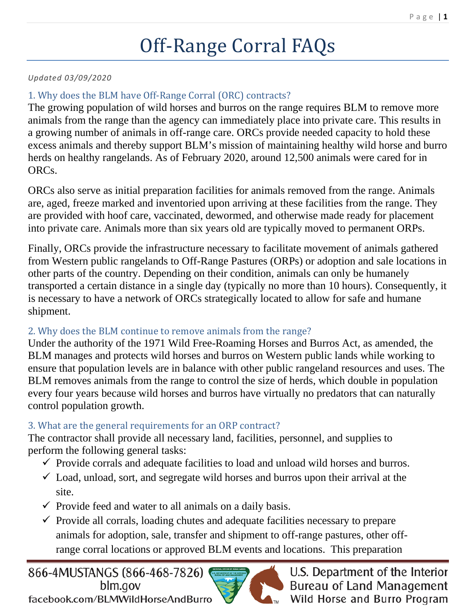# Off-Range Corral FAQs

#### *Updated 03/09/2020*

#### 1. Why does the BLM have Off-Range Corral (ORC) contracts?

The growing population of wild horses and burros on the range requires BLM to remove more animals from the range than the agency can immediately place into private care. This results in a growing number of animals in off-range care. ORCs provide needed capacity to hold these excess animals and thereby support BLM's mission of maintaining healthy wild horse and burro herds on healthy rangelands. As of February 2020, around 12,500 animals were cared for in ORCs.

ORCs also serve as initial preparation facilities for animals removed from the range. Animals are, aged, freeze marked and inventoried upon arriving at these facilities from the range. They are provided with hoof care, vaccinated, dewormed, and otherwise made ready for placement into private care. Animals more than six years old are typically moved to permanent ORPs.

Finally, ORCs provide the infrastructure necessary to facilitate movement of animals gathered from Western public rangelands to Off-Range Pastures (ORPs) or adoption and sale locations in other parts of the country. Depending on their condition, animals can only be humanely transported a certain distance in a single day (typically no more than 10 hours). Consequently, it is necessary to have a network of ORCs strategically located to allow for safe and humane shipment.

#### 2. Why does the BLM continue to remove animals from the range?

Under the authority of the 1971 Wild Free-Roaming Horses and Burros Act, as amended, the BLM manages and protects wild horses and burros on Western public lands while working to ensure that population levels are in balance with other public rangeland resources and uses. The BLM removes animals from the range to control the size of herds, which double in population every four years because wild horses and burros have virtually no predators that can naturally control population growth.

#### 3. What are the general requirements for an ORP contract?

The contractor shall provide all necessary land, facilities, personnel, and supplies to perform the following general tasks:

- $\checkmark$  Provide corrals and adequate facilities to load and unload wild horses and burros.
- $\checkmark$  Load, unload, sort, and segregate wild horses and burros upon their arrival at the site.
- $\checkmark$  Provide feed and water to all animals on a daily basis.
- $\checkmark$  Provide all corrals, loading chutes and adequate facilities necessary to prepare animals for adoption, sale, transfer and shipment to off-range pastures, other offrange corral locations or approved BLM events and locations. This preparation



U.S. Department of the Interior **Bureau of Land Management** Wild Horse and Burro Program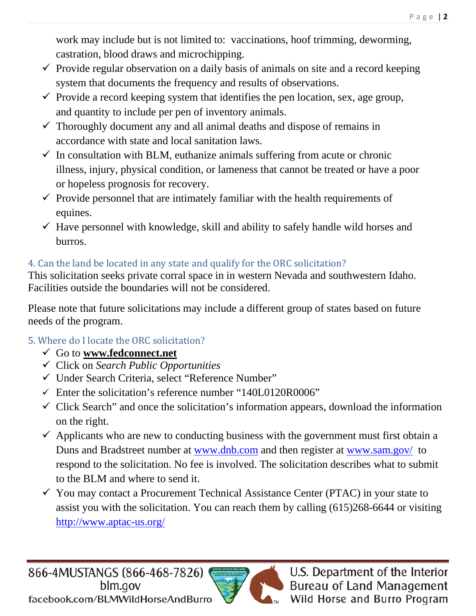work may include but is not limited to: vaccinations, hoof trimming, deworming, castration, blood draws and microchipping.

- $\checkmark$  Provide regular observation on a daily basis of animals on site and a record keeping system that documents the frequency and results of observations.
- $\checkmark$  Provide a record keeping system that identifies the pen location, sex, age group, and quantity to include per pen of inventory animals.
- $\checkmark$  Thoroughly document any and all animal deaths and dispose of remains in accordance with state and local sanitation laws.
- $\checkmark$  In consultation with BLM, euthanize animals suffering from acute or chronic illness, injury, physical condition, or lameness that cannot be treated or have a poor or hopeless prognosis for recovery.
- $\checkmark$  Provide personnel that are intimately familiar with the health requirements of equines.
- $\checkmark$  Have personnel with knowledge, skill and ability to safely handle wild horses and burros.

## 4. Can the land be located in any state and qualify for the ORC solicitation?

This solicitation seeks private corral space in in western Nevada and southwestern Idaho. Facilities outside the boundaries will not be considered.

Please note that future solicitations may include a different group of states based on future needs of the program.

## 5. Where do I locate the ORC solicitation?

- Go to **[www.fedconnect.net](http://www.fedconnect.net/)**
- Click on *Search Public Opportunities*
- Under Search Criteria, select "Reference Number"
- $\checkmark$  Enter the solicitation's reference number "140L0120R0006"
- $\checkmark$  Click Search" and once the solicitation's information appears, download the information on the right.
- $\checkmark$  Applicants who are new to conducting business with the government must first obtain a Duns and Bradstreet number at [www.dnb.com](http://www.dnb.com/) and then register at [www.sam.gov/](http://www.sam.gov/) to respond to the solicitation. No fee is involved. The solicitation describes what to submit to the BLM and where to send it.
- $\checkmark$  You may contact a Procurement Technical Assistance Center (PTAC) in your state to assist you with the solicitation. You can reach them by calling (615)268-6644 or visiting <http://www.aptac-us.org/>

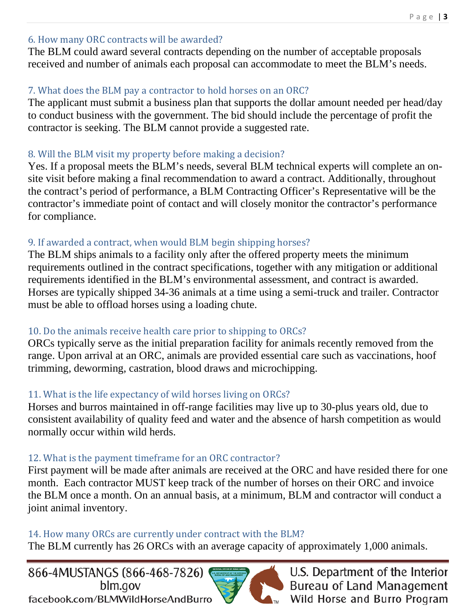#### 6. How many ORC contracts will be awarded?

The BLM could award several contracts depending on the number of acceptable proposals received and number of animals each proposal can accommodate to meet the BLM's needs.

### 7. What does the BLM pay a contractor to hold horses on an ORC?

The applicant must submit a business plan that supports the dollar amount needed per head/day to conduct business with the government. The bid should include the percentage of profit the contractor is seeking. The BLM cannot provide a suggested rate.

#### 8. Will the BLM visit my property before making a decision?

Yes. If a proposal meets the BLM's needs, several BLM technical experts will complete an onsite visit before making a final recommendation to award a contract. Additionally, throughout the contract's period of performance, a BLM Contracting Officer's Representative will be the contractor's immediate point of contact and will closely monitor the contractor's performance for compliance.

#### 9. If awarded a contract, when would BLM begin shipping horses?

The BLM ships animals to a facility only after the offered property meets the minimum requirements outlined in the contract specifications, together with any mitigation or additional requirements identified in the BLM's environmental assessment, and contract is awarded. Horses are typically shipped 34-36 animals at a time using a semi-truck and trailer. Contractor must be able to offload horses using a loading chute.

#### 10. Do the animals receive health care prior to shipping to ORCs?

ORCs typically serve as the initial preparation facility for animals recently removed from the range. Upon arrival at an ORC, animals are provided essential care such as vaccinations, hoof trimming, deworming, castration, blood draws and microchipping.

## 11. What is the life expectancy of wild horses living on ORCs?

Horses and burros maintained in off-range facilities may live up to 30-plus years old, due to consistent availability of quality feed and water and the absence of harsh competition as would normally occur within wild herds.

## 12. What is the payment timeframe for an ORC contractor?

First payment will be made after animals are received at the ORC and have resided there for one month. Each contractor MUST keep track of the number of horses on their ORC and invoice the BLM once a month. On an annual basis, at a minimum, BLM and contractor will conduct a joint animal inventory.

#### 14. How many ORCs are currently under contract with the BLM?

The BLM currently has 26 ORCs with an average capacity of approximately 1,000 animals.

866-4MUSTANGS (866-468-7826) blm.gov facebook.com/BLMWildHorseAndBurro



U.S. Department of the Interior **Bureau of Land Management** ™ Wild Horse and Burro Program